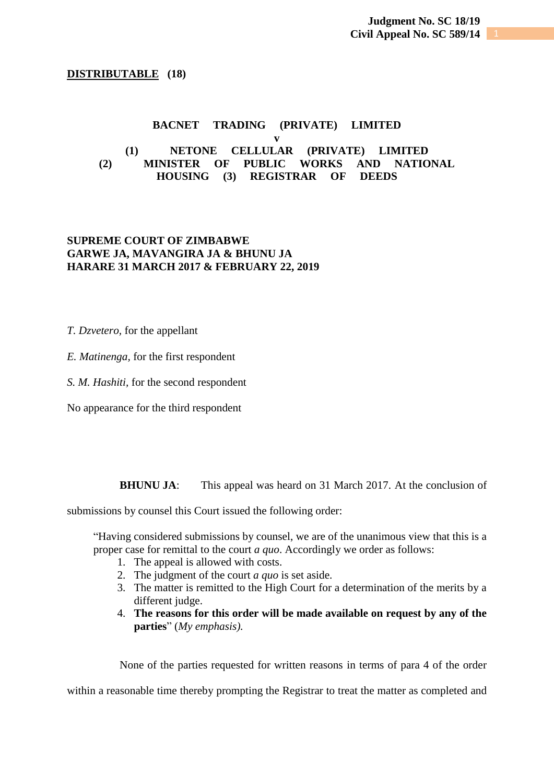## **DISTRIBUTABLE (18)**

## **BACNET TRADING (PRIVATE) LIMITED**

## **v (1) NETONE CELLULAR (PRIVATE) LIMITED (2) MINISTER OF PUBLIC WORKS AND NATIONAL HOUSING (3) REGISTRAR OF DEEDS**

## **SUPREME COURT OF ZIMBABWE GARWE JA, MAVANGIRA JA & BHUNU JA HARARE 31 MARCH 2017 & FEBRUARY 22, 2019**

*T. Dzvetero,* for the appellant

*E. Matinenga,* for the first respondent

*S. M. Hashiti,* for the second respondent

No appearance for the third respondent

**BHUNU JA:** This appeal was heard on 31 March 2017. At the conclusion of

submissions by counsel this Court issued the following order:

"Having considered submissions by counsel, we are of the unanimous view that this is a proper case for remittal to the court *a quo*. Accordingly we order as follows:

- 1. The appeal is allowed with costs.
- 2. The judgment of the court *a quo* is set aside.
- 3. The matter is remitted to the High Court for a determination of the merits by a different judge.
- 4. **The reasons for this order will be made available on request by any of the parties**" (*My emphasis).*

None of the parties requested for written reasons in terms of para 4 of the order

within a reasonable time thereby prompting the Registrar to treat the matter as completed and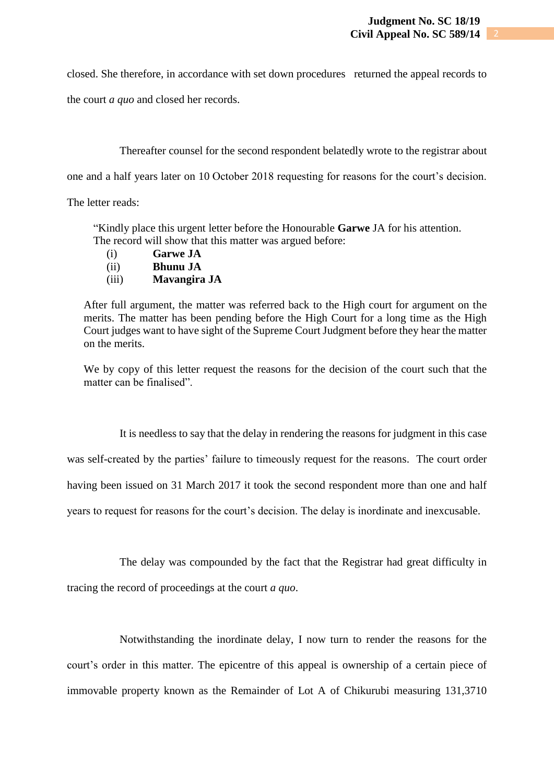closed. She therefore, in accordance with set down procedures returned the appeal records to

the court *a quo* and closed her records.

Thereafter counsel for the second respondent belatedly wrote to the registrar about

one and a half years later on 10 October 2018 requesting for reasons for the court's decision.

The letter reads:

"Kindly place this urgent letter before the Honourable **Garwe** JA for his attention. The record will show that this matter was argued before:

- (i) **Garwe JA**
- (ii) **Bhunu JA**
- (iii) **Mavangira JA**

After full argument, the matter was referred back to the High court for argument on the merits. The matter has been pending before the High Court for a long time as the High Court judges want to have sight of the Supreme Court Judgment before they hear the matter on the merits.

We by copy of this letter request the reasons for the decision of the court such that the matter can be finalised".

It is needless to say that the delay in rendering the reasons for judgment in this case

was self-created by the parties' failure to timeously request for the reasons. The court order

having been issued on 31 March 2017 it took the second respondent more than one and half

years to request for reasons for the court's decision. The delay is inordinate and inexcusable.

The delay was compounded by the fact that the Registrar had great difficulty in tracing the record of proceedings at the court *a quo*.

Notwithstanding the inordinate delay, I now turn to render the reasons for the court's order in this matter. The epicentre of this appeal is ownership of a certain piece of immovable property known as the Remainder of Lot A of Chikurubi measuring 131,3710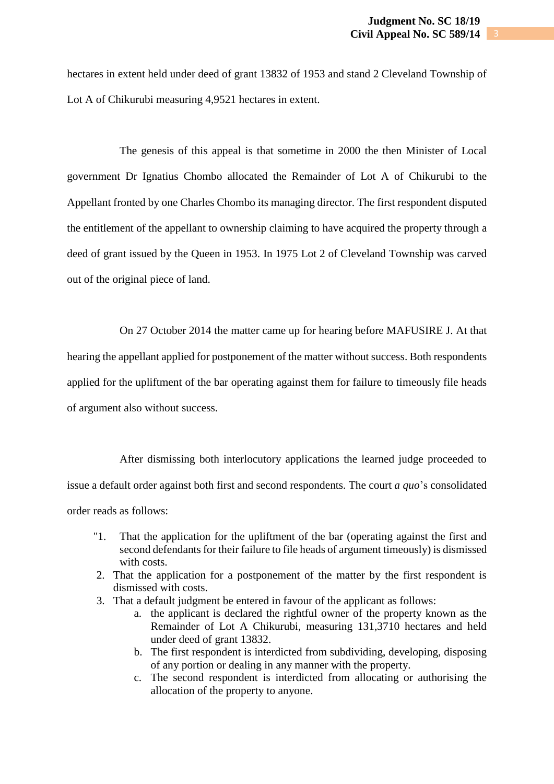hectares in extent held under deed of grant 13832 of 1953 and stand 2 Cleveland Township of Lot A of Chikurubi measuring 4,9521 hectares in extent.

The genesis of this appeal is that sometime in 2000 the then Minister of Local government Dr Ignatius Chombo allocated the Remainder of Lot A of Chikurubi to the Appellant fronted by one Charles Chombo its managing director. The first respondent disputed the entitlement of the appellant to ownership claiming to have acquired the property through a deed of grant issued by the Queen in 1953. In 1975 Lot 2 of Cleveland Township was carved out of the original piece of land.

On 27 October 2014 the matter came up for hearing before MAFUSIRE J. At that

hearing the appellant applied for postponement of the matter without success. Both respondents

applied for the upliftment of the bar operating against them for failure to timeously file heads

of argument also without success.

After dismissing both interlocutory applications the learned judge proceeded to issue a default order against both first and second respondents. The court *a quo*'s consolidated order reads as follows:

- "1. That the application for the upliftment of the bar (operating against the first and second defendants for their failure to file heads of argument timeously) is dismissed with costs.
- 2. That the application for a postponement of the matter by the first respondent is dismissed with costs.
- 3. That a default judgment be entered in favour of the applicant as follows:
	- a. the applicant is declared the rightful owner of the property known as the Remainder of Lot A Chikurubi, measuring 131,3710 hectares and held under deed of grant 13832.
	- b. The first respondent is interdicted from subdividing, developing, disposing of any portion or dealing in any manner with the property.
	- c. The second respondent is interdicted from allocating or authorising the allocation of the property to anyone.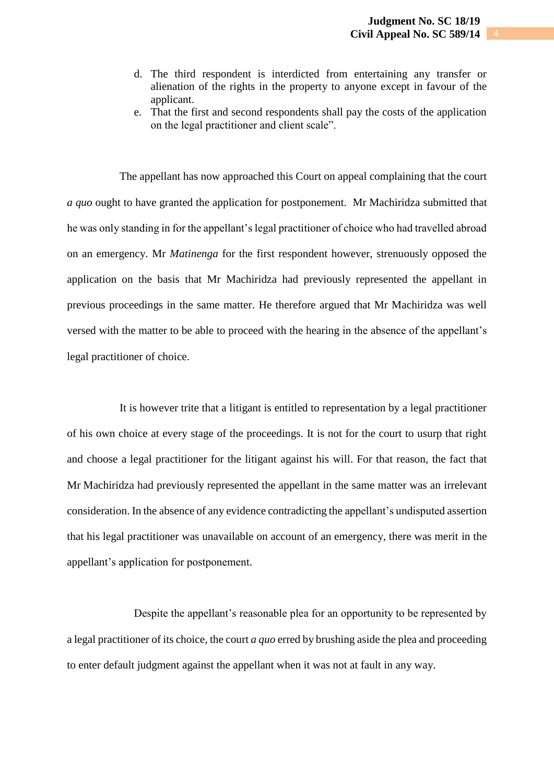- d. The third respondent is interdicted from entertaining any transfer or alienation of the rights in the property to anyone except in favour of the applicant.
- e. That the first and second respondents shall pay the costs of the application on the legal practitioner and client scale".

The appellant has now approached this Court on appeal complaining that the court *a quo* ought to have granted the application for postponement. Mr Machiridza submitted that he was only standing in for the appellant's legal practitioner of choice who had travelled abroad on an emergency. Mr *Matinenga* for the first respondent however, strenuously opposed the application on the basis that Mr Machiridza had previously represented the appellant in previous proceedings in the same matter. He therefore argued that Mr Machiridza was well versed with the matter to be able to proceed with the hearing in the absence of the appellant's legal practitioner of choice.

It is however trite that a litigant is entitled to representation by a legal practitioner of his own choice at every stage of the proceedings. It is not for the court to usurp that right and choose a legal practitioner for the litigant against his will. For that reason, the fact that Mr Machiridza had previously represented the appellant in the same matter was an irrelevant consideration. In the absence of any evidence contradicting the appellant's undisputed assertion that his legal practitioner was unavailable on account of an emergency, there was merit in the appellant's application for postponement.

Despite the appellant's reasonable plea for an opportunity to be represented by a legal practitioner of its choice, the court *a quo* erred by brushing aside the plea and proceeding to enter default judgment against the appellant when it was not at fault in any way.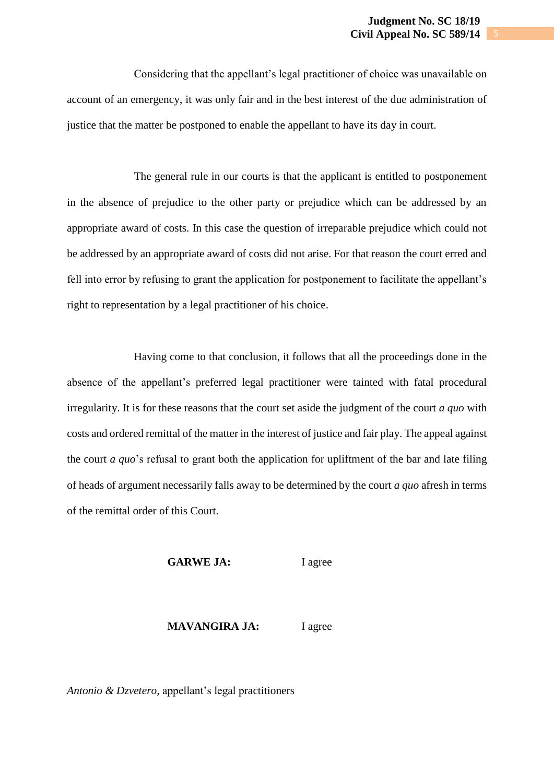Considering that the appellant's legal practitioner of choice was unavailable on account of an emergency, it was only fair and in the best interest of the due administration of justice that the matter be postponed to enable the appellant to have its day in court.

The general rule in our courts is that the applicant is entitled to postponement in the absence of prejudice to the other party or prejudice which can be addressed by an appropriate award of costs. In this case the question of irreparable prejudice which could not be addressed by an appropriate award of costs did not arise. For that reason the court erred and fell into error by refusing to grant the application for postponement to facilitate the appellant's right to representation by a legal practitioner of his choice.

Having come to that conclusion, it follows that all the proceedings done in the absence of the appellant's preferred legal practitioner were tainted with fatal procedural irregularity. It is for these reasons that the court set aside the judgment of the court *a quo* with costs and ordered remittal of the matter in the interest of justice and fair play. The appeal against the court *a quo*'s refusal to grant both the application for upliftment of the bar and late filing of heads of argument necessarily falls away to be determined by the court *a quo* afresh in terms of the remittal order of this Court.

GARWE JA: I agree

**MAVANGIRA JA:** I agree

*Antonio & Dzvetero,* appellant's legal practitioners